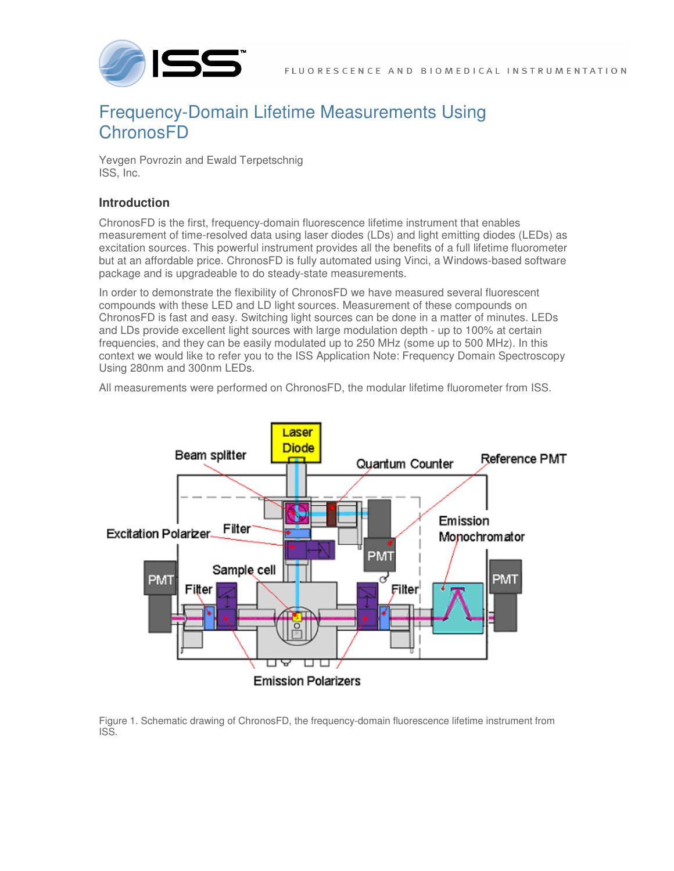

## Frequency-Domain Lifetime Measurements Using **ChronosFD**

Yevgen Povrozin and Ewald Terpetschnig ISS, Inc.

## **Introduction**

ChronosFD is the first, frequency-domain fluorescence lifetime instrument that enables measurement of time-resolved data using laser diodes (LDs) and light emitting diodes (LEDs) as excitation sources. This powerful instrument provides all the benefits of a full lifetime fluorometer but at an affordable price. ChronosFD is fully automated using Vinci, a Windows-based software package and is upgradeable to do steady-state measurements.

In order to demonstrate the flexibility of ChronosFD we have measured several fluorescent compounds with these LED and LD light sources. Measurement of these compounds on ChronosFD is fast and easy. Switching light sources can be done in a matter of minutes. LEDs and LDs provide excellent light sources with large modulation depth - up to 100% at certain frequencies, and they can be easily modulated up to 250 MHz (some up to 500 MHz). In this context we would like to refer you to the ISS Application Note: Frequency Domain Spectroscopy Using 280nm and 300nm LEDs.

All measurements were performed on ChronosFD, the modular lifetime fluorometer from ISS.



Figure 1. Schematic drawing of ChronosFD, the frequency-domain fluorescence lifetime instrument from ISS.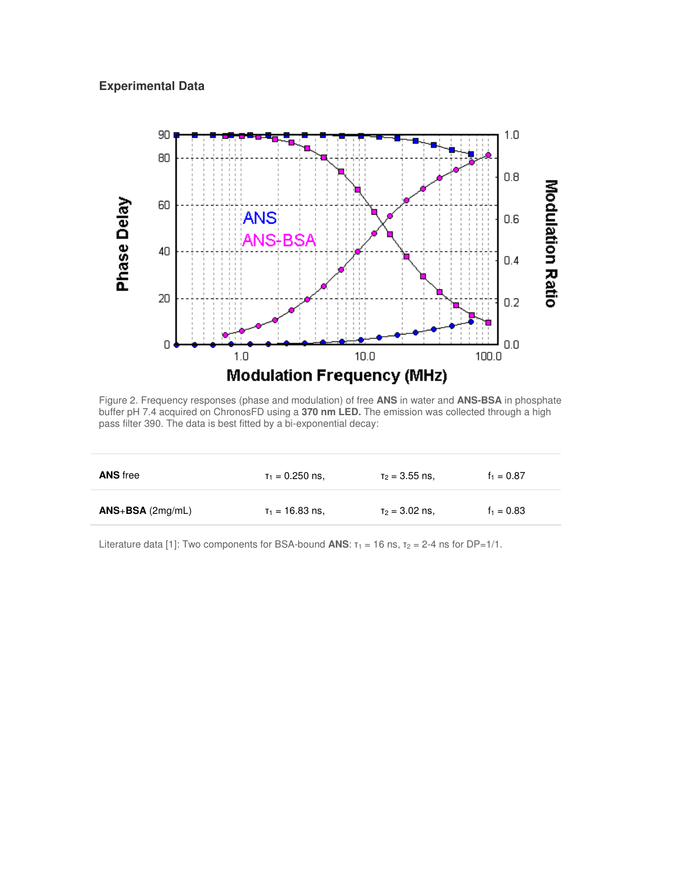## **Experimental Data**



Figure 2. Frequency responses (phase and modulation) of free **ANS** in water and **ANS-BSA** in phosphate buffer pH 7.4 acquired on ChronosFD using a **370 nm LED.** The emission was collected through a high pass filter 390. The data is best fitted by a bi-exponential decay:

| <b>ANS</b> free    | $\tau_1 = 0.250$ ns. | $\tau_2 = 3.55$ ns, | $f_1 = 0.87$ |
|--------------------|----------------------|---------------------|--------------|
| $ANS+BSA$ (2mg/mL) | $T_1 = 16.83$ ns.    | $T_2 = 3.02$ ns.    | $f_1 = 0.83$ |

Literature data [1]: Two components for BSA-bound **ANS**:  $\tau_1 = 16$  ns,  $\tau_2 = 2-4$  ns for DP=1/1.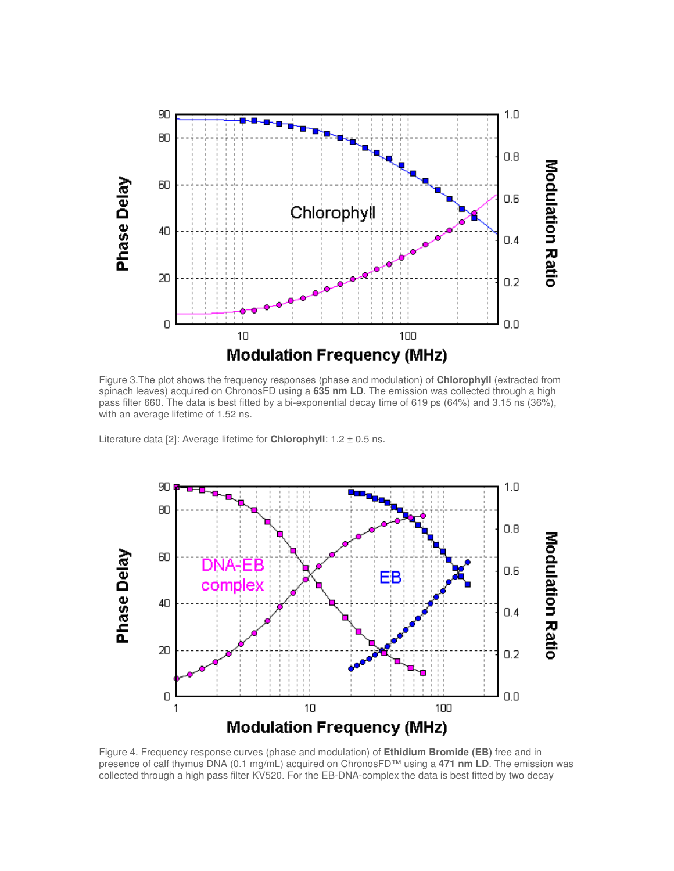

Figure 3.The plot shows the frequency responses (phase and modulation) of **Chlorophyll** (extracted from spinach leaves) acquired on ChronosFD using a **635 nm LD**. The emission was collected through a high pass filter 660. The data is best fitted by a bi-exponential decay time of 619 ps (64%) and 3.15 ns (36%), with an average lifetime of 1.52 ns.

Literature data [2]: Average lifetime for **Chlorophyll**: 1.2 ± 0.5 ns.



Figure 4. Frequency response curves (phase and modulation) of **Ethidium Bromide (EB)** free and in presence of calf thymus DNA (0.1 mg/mL) acquired on ChronosFD™ using a **471 nm LD**. The emission was collected through a high pass filter KV520. For the EB-DNA-complex the data is best fitted by two decay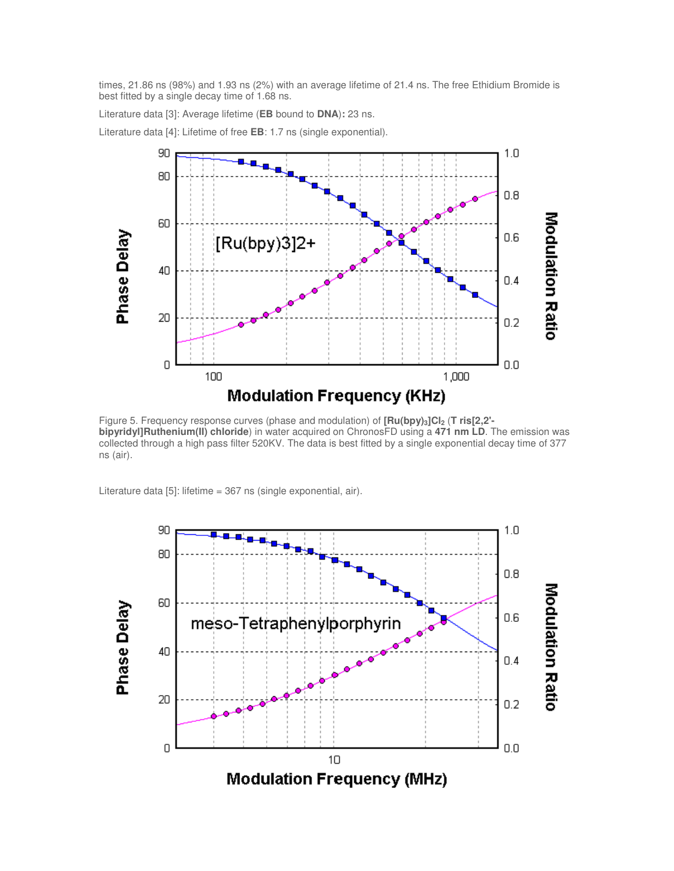times, 21.86 ns (98%) and 1.93 ns (2%) with an average lifetime of 21.4 ns. The free Ethidium Bromide is best fitted by a single decay time of 1.68 ns.

Literature data [3]: Average lifetime (**EB** bound to **DNA**)**:** 23 ns.

Literature data [4]: Lifetime of free **EB**: 1.7 ns (single exponential).



Figure 5. Frequency response curves (phase and modulation) of **[Ru(bpy)3]Cl2** (**T ris[2,2' bipyridyl]Ruthenium(II) chloride**) in water acquired on ChronosFD using a **471 nm LD**. The emission was collected through a high pass filter 520KV. The data is best fitted by a single exponential decay time of 377 ns (air).

Literature data [5]: lifetime = 367 ns (single exponential, air).